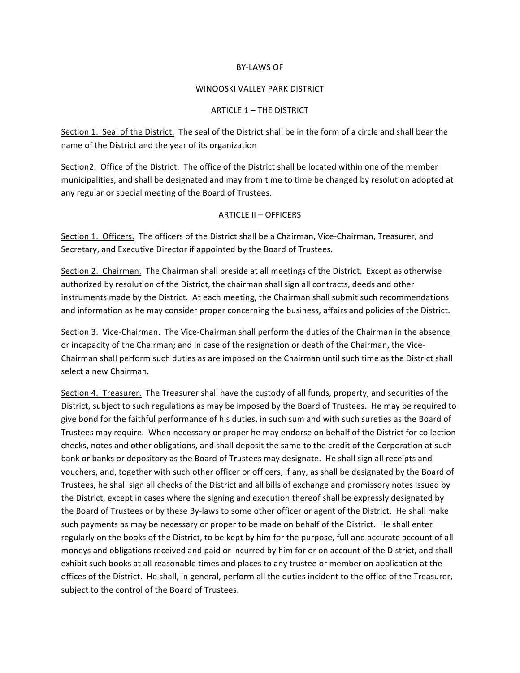## BY-LAWS OF

## WINOOSKI VALLEY PARK DISTRICT

## ARTICLE 1 - THE DISTRICT

Section 1. Seal of the District. The seal of the District shall be in the form of a circle and shall bear the name of the District and the year of its organization

Section2. Office of the District. The office of the District shall be located within one of the member municipalities, and shall be designated and may from time to time be changed by resolution adopted at any regular or special meeting of the Board of Trustees.

## ARTICLE II - OFFICERS

Section 1. Officers. The officers of the District shall be a Chairman, Vice-Chairman, Treasurer, and Secretary, and Executive Director if appointed by the Board of Trustees.

Section 2. Chairman. The Chairman shall preside at all meetings of the District. Except as otherwise authorized by resolution of the District, the chairman shall sign all contracts, deeds and other instruments made by the District. At each meeting, the Chairman shall submit such recommendations and information as he may consider proper concerning the business, affairs and policies of the District.

Section 3. Vice-Chairman. The Vice-Chairman shall perform the duties of the Chairman in the absence or incapacity of the Chairman; and in case of the resignation or death of the Chairman, the Vice-Chairman shall perform such duties as are imposed on the Chairman until such time as the District shall select a new Chairman.

Section 4. Treasurer. The Treasurer shall have the custody of all funds, property, and securities of the District, subject to such regulations as may be imposed by the Board of Trustees. He may be required to give bond for the faithful performance of his duties, in such sum and with such sureties as the Board of Trustees may require. When necessary or proper he may endorse on behalf of the District for collection checks, notes and other obligations, and shall deposit the same to the credit of the Corporation at such bank or banks or depository as the Board of Trustees may designate. He shall sign all receipts and vouchers, and, together with such other officer or officers, if any, as shall be designated by the Board of Trustees, he shall sign all checks of the District and all bills of exchange and promissory notes issued by the District, except in cases where the signing and execution thereof shall be expressly designated by the Board of Trustees or by these By-laws to some other officer or agent of the District. He shall make such payments as may be necessary or proper to be made on behalf of the District. He shall enter regularly on the books of the District, to be kept by him for the purpose, full and accurate account of all moneys and obligations received and paid or incurred by him for or on account of the District, and shall exhibit such books at all reasonable times and places to any trustee or member on application at the offices of the District. He shall, in general, perform all the duties incident to the office of the Treasurer, subject to the control of the Board of Trustees.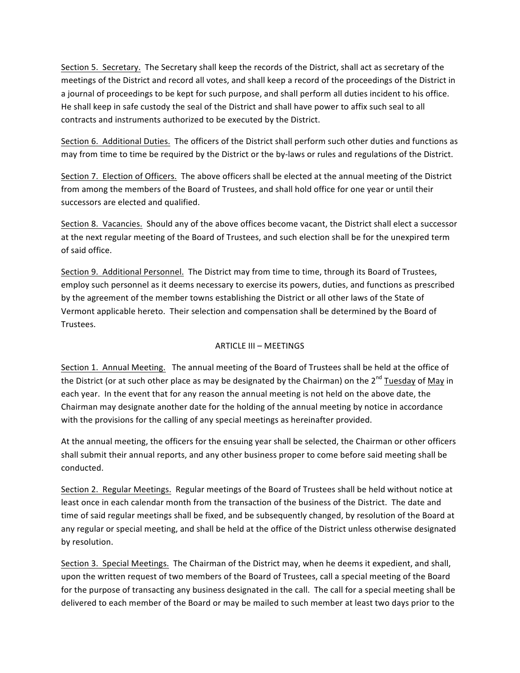Section 5. Secretary. The Secretary shall keep the records of the District, shall act as secretary of the meetings of the District and record all votes, and shall keep a record of the proceedings of the District in a journal of proceedings to be kept for such purpose, and shall perform all duties incident to his office. He shall keep in safe custody the seal of the District and shall have power to affix such seal to all contracts and instruments authorized to be executed by the District.

Section 6. Additional Duties. The officers of the District shall perform such other duties and functions as may from time to time be required by the District or the by-laws or rules and regulations of the District.

Section 7. Election of Officers. The above officers shall be elected at the annual meeting of the District from among the members of the Board of Trustees, and shall hold office for one year or until their successors are elected and qualified.

Section 8. Vacancies. Should any of the above offices become vacant, the District shall elect a successor at the next regular meeting of the Board of Trustees, and such election shall be for the unexpired term of said office.

Section 9. Additional Personnel. The District may from time to time, through its Board of Trustees, employ such personnel as it deems necessary to exercise its powers, duties, and functions as prescribed by the agreement of the member towns establishing the District or all other laws of the State of Vermont applicable hereto. Their selection and compensation shall be determined by the Board of Trustees.

# ARTICLE III - MEETINGS

Section 1. Annual Meeting. The annual meeting of the Board of Trustees shall be held at the office of the District (or at such other place as may be designated by the Chairman) on the  $2^{nd}$  Tuesday of May in each year. In the event that for any reason the annual meeting is not held on the above date, the Chairman may designate another date for the holding of the annual meeting by notice in accordance with the provisions for the calling of any special meetings as hereinafter provided.

At the annual meeting, the officers for the ensuing year shall be selected, the Chairman or other officers shall submit their annual reports, and any other business proper to come before said meeting shall be conducted.

Section 2. Regular Meetings. Regular meetings of the Board of Trustees shall be held without notice at least once in each calendar month from the transaction of the business of the District. The date and time of said regular meetings shall be fixed, and be subsequently changed, by resolution of the Board at any regular or special meeting, and shall be held at the office of the District unless otherwise designated by resolution.

Section 3. Special Meetings. The Chairman of the District may, when he deems it expedient, and shall, upon the written request of two members of the Board of Trustees, call a special meeting of the Board for the purpose of transacting any business designated in the call. The call for a special meeting shall be delivered to each member of the Board or may be mailed to such member at least two days prior to the